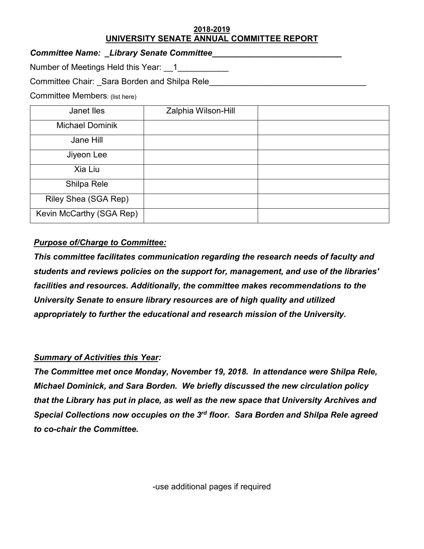#### **2018-2019 UNIVERSITY SENATE ANNUAL COMMITTEE REPORT**

*Committee Name: \_Library Senate Committee\_\_\_\_\_\_\_\_\_\_\_\_\_\_\_\_\_\_\_\_\_\_\_\_\_\_\_\_* 

Number of Meetings Held this Year: 1\_\_\_\_\_\_\_\_\_\_\_

Committee Chair: \_Sara Borden and Shilpa Rele

Committee Members: (list here)

| Janet Iles               | Zalphia Wilson-Hill |  |
|--------------------------|---------------------|--|
| <b>Michael Dominik</b>   |                     |  |
| Jane Hill                |                     |  |
| Jiyeon Lee               |                     |  |
| Xia Liu                  |                     |  |
| Shilpa Rele              |                     |  |
| Riley Shea (SGA Rep)     |                     |  |
| Kevin McCarthy (SGA Rep) |                     |  |

# *Purpose of/Charge to Committee:*

*This committee facilitates communication regarding the research needs of faculty and students and reviews policies on the support for, management, and use of the libraries' facilities and resources. Additionally, the committee makes recommendations to the University Senate to ensure library resources are of high quality and utilized appropriately to further the educational and research mission of the University.*

# *Summary of Activities this Year:*

*The Committee met once Monday, November 19, 2018. In attendance were Shilpa Rele, Michael Dominick, and Sara Borden. We briefly discussed the new circulation policy that the Library has put in place, as well as the new space that University Archives and Special Collections now occupies on the 3rd floor. Sara Borden and Shilpa Rele agreed to co-chair the Committee.* 

-use additional pages if required